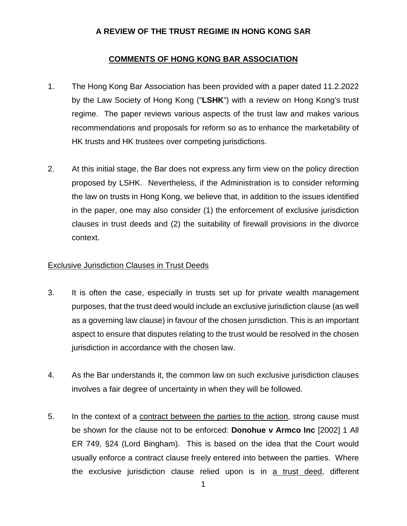## **A REVIEW OF THE TRUST REGIME IN HONG KONG SAR**

## **COMMENTS OF HONG KONG BAR ASSOCIATION**

- 1. The Hong Kong Bar Association has been provided with a paper dated 11.2.2022 by the Law Society of Hong Kong ("**LSHK**") with a review on Hong Kong's trust regime. The paper reviews various aspects of the trust law and makes various recommendations and proposals for reform so as to enhance the marketability of HK trusts and HK trustees over competing jurisdictions.
- 2. At this initial stage, the Bar does not express any firm view on the policy direction proposed by LSHK. Nevertheless, if the Administration is to consider reforming the law on trusts in Hong Kong, we believe that, in addition to the issues identified in the paper, one may also consider (1) the enforcement of exclusive jurisdiction clauses in trust deeds and (2) the suitability of firewall provisions in the divorce context.

## Exclusive Jurisdiction Clauses in Trust Deeds

- 3. It is often the case, especially in trusts set up for private wealth management purposes, that the trust deed would include an exclusive jurisdiction clause (as well as a governing law clause) in favour of the chosen jurisdiction. This is an important aspect to ensure that disputes relating to the trust would be resolved in the chosen jurisdiction in accordance with the chosen law.
- 4. As the Bar understands it, the common law on such exclusive jurisdiction clauses involves a fair degree of uncertainty in when they will be followed.
- 5. In the context of a contract between the parties to the action, strong cause must be shown for the clause not to be enforced: **Donohue v Armco Inc** [2002] 1 All ER 749, §24 (Lord Bingham). This is based on the idea that the Court would usually enforce a contract clause freely entered into between the parties. Where the exclusive jurisdiction clause relied upon is in a trust deed, different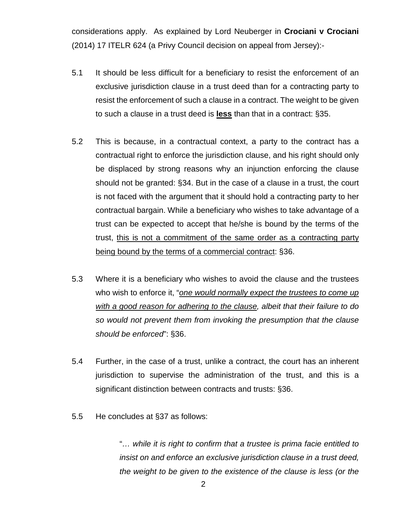considerations apply. As explained by Lord Neuberger in **Crociani v Crociani**  (2014) 17 ITELR 624 (a Privy Council decision on appeal from Jersey):-

- 5.1 It should be less difficult for a beneficiary to resist the enforcement of an exclusive jurisdiction clause in a trust deed than for a contracting party to resist the enforcement of such a clause in a contract. The weight to be given to such a clause in a trust deed is **less** than that in a contract: §35.
- 5.2 This is because, in a contractual context, a party to the contract has a contractual right to enforce the jurisdiction clause, and his right should only be displaced by strong reasons why an injunction enforcing the clause should not be granted: §34. But in the case of a clause in a trust, the court is not faced with the argument that it should hold a contracting party to her contractual bargain. While a beneficiary who wishes to take advantage of a trust can be expected to accept that he/she is bound by the terms of the trust, this is not a commitment of the same order as a contracting party being bound by the terms of a commercial contract: §36.
- <span id="page-1-0"></span>5.3 Where it is a beneficiary who wishes to avoid the clause and the trustees who wish to enforce it, "*one would normally expect the trustees to come up with a good reason for adhering to the clause, albeit that their failure to do so would not prevent them from invoking the presumption that the clause should be enforced*": §36.
- 5.4 Further, in the case of a trust, unlike a contract, the court has an inherent jurisdiction to supervise the administration of the trust, and this is a significant distinction between contracts and trusts: §36.
- 5.5 He concludes at §37 as follows:

"*… while it is right to confirm that a trustee is prima facie entitled to insist on and enforce an exclusive jurisdiction clause in a trust deed, the weight to be given to the existence of the clause is less (or the*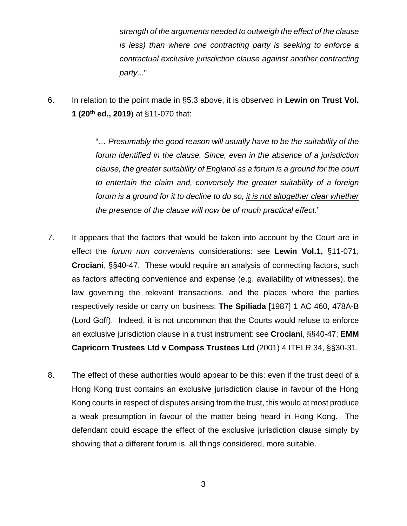*strength of the arguments needed to outweigh the effect of the clause is less) than where one contracting party is seeking to enforce a contractual exclusive jurisdiction clause against another contracting party...*"

6. In relation to the point made in [§5.3](#page-1-0) above, it is observed in **Lewin on Trust Vol. 1 (20th ed., 2019**) at §11-070 that:

> "*… Presumably the good reason will usually have to be the suitability of the forum identified in the clause. Since, even in the absence of a jurisdiction clause, the greater suitability of England as a forum is a ground for the court to entertain the claim and, conversely the greater suitability of a foreign forum is a ground for it to decline to do so, it is not altogether clear whether the presence of the clause will now be of much practical effect.*"

- 7. It appears that the factors that would be taken into account by the Court are in effect the *forum non conveniens* considerations: see **Lewin Vol.1,** §11-071; **Crociani**, §§40-47. These would require an analysis of connecting factors, such as factors affecting convenience and expense (e.g. availability of witnesses), the law governing the relevant transactions, and the places where the parties respectively reside or carry on business: **The Spiliada** [1987] 1 AC 460, 478A-B (Lord Goff). Indeed, it is not uncommon that the Courts would refuse to enforce an exclusive jurisdiction clause in a trust instrument: see **Crociani**, §§40-47; **EMM Capricorn Trustees Ltd v Compass Trustees Ltd** (2001) 4 ITELR 34, §§30-31.
- 8. The effect of these authorities would appear to be this: even if the trust deed of a Hong Kong trust contains an exclusive jurisdiction clause in favour of the Hong Kong courts in respect of disputes arising from the trust, this would at most produce a weak presumption in favour of the matter being heard in Hong Kong. The defendant could escape the effect of the exclusive jurisdiction clause simply by showing that a different forum is, all things considered, more suitable.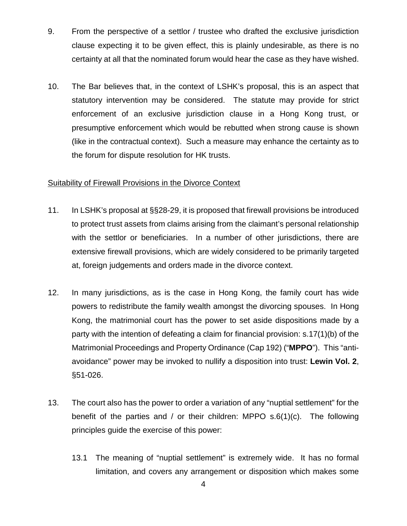- 9. From the perspective of a settlor / trustee who drafted the exclusive jurisdiction clause expecting it to be given effect, this is plainly undesirable, as there is no certainty at all that the nominated forum would hear the case as they have wished.
- 10. The Bar believes that, in the context of LSHK's proposal, this is an aspect that statutory intervention may be considered. The statute may provide for strict enforcement of an exclusive jurisdiction clause in a Hong Kong trust, or presumptive enforcement which would be rebutted when strong cause is shown (like in the contractual context). Such a measure may enhance the certainty as to the forum for dispute resolution for HK trusts.

## Suitability of Firewall Provisions in the Divorce Context

- 11. In LSHK's proposal at §§28-29, it is proposed that firewall provisions be introduced to protect trust assets from claims arising from the claimant's personal relationship with the settlor or beneficiaries. In a number of other jurisdictions, there are extensive firewall provisions, which are widely considered to be primarily targeted at, foreign judgements and orders made in the divorce context.
- 12. In many jurisdictions, as is the case in Hong Kong, the family court has wide powers to redistribute the family wealth amongst the divorcing spouses. In Hong Kong, the matrimonial court has the power to set aside dispositions made by a party with the intention of defeating a claim for financial provision: s.17(1)(b) of the Matrimonial Proceedings and Property Ordinance (Cap 192) ("**MPPO**"). This "antiavoidance" power may be invoked to nullify a disposition into trust: **Lewin Vol. 2**, §51-026.
- 13. The court also has the power to order a variation of any "nuptial settlement" for the benefit of the parties and / or their children: MPPO  $s.6(1)(c)$ . The following principles guide the exercise of this power:
	- 13.1 The meaning of "nuptial settlement" is extremely wide. It has no formal limitation, and covers any arrangement or disposition which makes some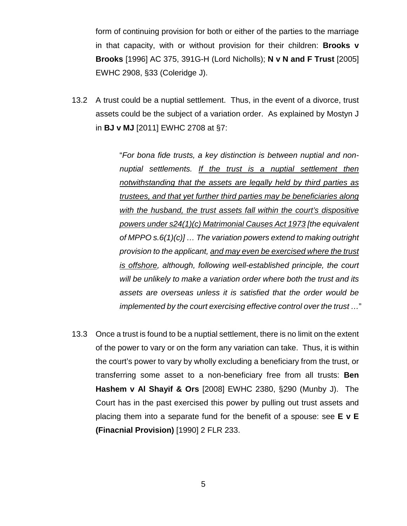form of continuing provision for both or either of the parties to the marriage in that capacity, with or without provision for their children: **Brooks v Brooks** [1996] AC 375, 391G-H (Lord Nicholls); **N v N and F Trust** [2005] EWHC 2908, §33 (Coleridge J).

13.2 A trust could be a nuptial settlement. Thus, in the event of a divorce, trust assets could be the subject of a variation order. As explained by Mostyn J in **BJ v MJ** [2011] EWHC 2708 at §7:

> "*For bona fide trusts, a key distinction is between nuptial and nonnuptial settlements. If the trust is a nuptial settlement then notwithstanding that the assets are legally held by third parties as trustees, and that yet further third parties may be beneficiaries along with the husband, the trust assets fall within the court's dispositive powers under s24(1)(c) Matrimonial Causes Act 1973 [the equivalent of MPPO s.6(1)(c)] … The variation powers extend to making outright provision to the applicant, and may even be exercised where the trust is offshore, although, following well-established principle, the court will be unlikely to make a variation order where both the trust and its assets are overseas unless it is satisfied that the order would be implemented by the court exercising effective control over the trust …*"

13.3 Once a trust is found to be a nuptial settlement, there is no limit on the extent of the power to vary or on the form any variation can take. Thus, it is within the court's power to vary by wholly excluding a beneficiary from the trust, or transferring some asset to a non-beneficiary free from all trusts: **Ben Hashem v Al Shayif & Ors** [2008] EWHC 2380, §290 (Munby J). The Court has in the past exercised this power by pulling out trust assets and placing them into a separate fund for the benefit of a spouse: see **E v E (Finacnial Provision)** [1990] 2 FLR 233.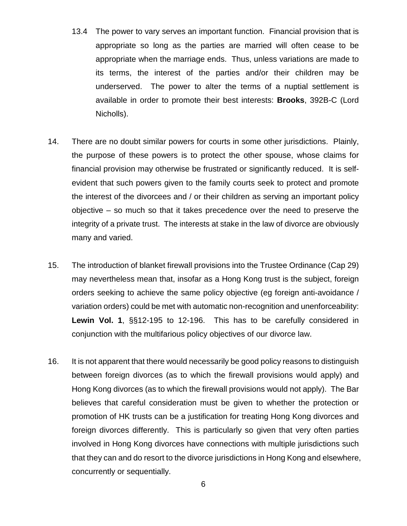- 13.4 The power to vary serves an important function. Financial provision that is appropriate so long as the parties are married will often cease to be appropriate when the marriage ends. Thus, unless variations are made to its terms, the interest of the parties and/or their children may be underserved. The power to alter the terms of a nuptial settlement is available in order to promote their best interests: **Brooks**, 392B-C (Lord Nicholls).
- 14. There are no doubt similar powers for courts in some other jurisdictions. Plainly, the purpose of these powers is to protect the other spouse, whose claims for financial provision may otherwise be frustrated or significantly reduced. It is selfevident that such powers given to the family courts seek to protect and promote the interest of the divorcees and / or their children as serving an important policy objective – so much so that it takes precedence over the need to preserve the integrity of a private trust. The interests at stake in the law of divorce are obviously many and varied.
- 15. The introduction of blanket firewall provisions into the Trustee Ordinance (Cap 29) may nevertheless mean that, insofar as a Hong Kong trust is the subject, foreign orders seeking to achieve the same policy objective (eg foreign anti-avoidance / variation orders) could be met with automatic non-recognition and unenforceability: **Lewin Vol. 1**, §§12-195 to 12-196. This has to be carefully considered in conjunction with the multifarious policy objectives of our divorce law.
- 16. It is not apparent that there would necessarily be good policy reasons to distinguish between foreign divorces (as to which the firewall provisions would apply) and Hong Kong divorces (as to which the firewall provisions would not apply). The Bar believes that careful consideration must be given to whether the protection or promotion of HK trusts can be a justification for treating Hong Kong divorces and foreign divorces differently. This is particularly so given that very often parties involved in Hong Kong divorces have connections with multiple jurisdictions such that they can and do resort to the divorce jurisdictions in Hong Kong and elsewhere, concurrently or sequentially.